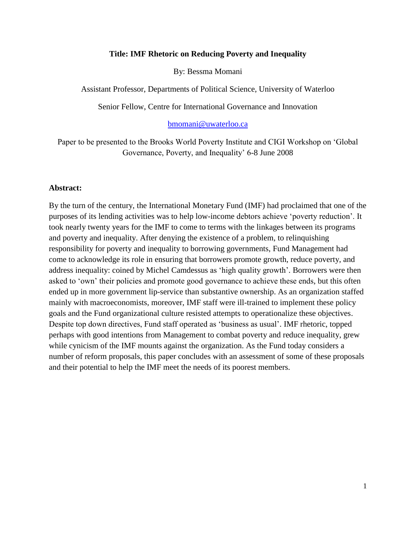### **Title: IMF Rhetoric on Reducing Poverty and Inequality**

By: Bessma Momani

Assistant Professor, Departments of Political Science, University of Waterloo

Senior Fellow, Centre for International Governance and Innovation

#### [bmomani@uwaterloo.ca](mailto:bmomani@uwaterloo.ca)

Paper to be presented to the Brooks World Poverty Institute and CIGI Workshop on 'Global Governance, Poverty, and Inequality' 6-8 June 2008

#### **Abstract:**

By the turn of the century, the International Monetary Fund (IMF) had proclaimed that one of the purposes of its lending activities was to help low-income debtors achieve 'poverty reduction'. It took nearly twenty years for the IMF to come to terms with the linkages between its programs and poverty and inequality. After denying the existence of a problem, to relinquishing responsibility for poverty and inequality to borrowing governments, Fund Management had come to acknowledge its role in ensuring that borrowers promote growth, reduce poverty, and address inequality: coined by Michel Camdessus as 'high quality growth'. Borrowers were then asked to 'own' their policies and promote good governance to achieve these ends, but this often ended up in more government lip-service than substantive ownership. As an organization staffed mainly with macroeconomists, moreover, IMF staff were ill-trained to implement these policy goals and the Fund organizational culture resisted attempts to operationalize these objectives. Despite top down directives, Fund staff operated as 'business as usual'. IMF rhetoric, topped perhaps with good intentions from Management to combat poverty and reduce inequality, grew while cynicism of the IMF mounts against the organization. As the Fund today considers a number of reform proposals, this paper concludes with an assessment of some of these proposals and their potential to help the IMF meet the needs of its poorest members.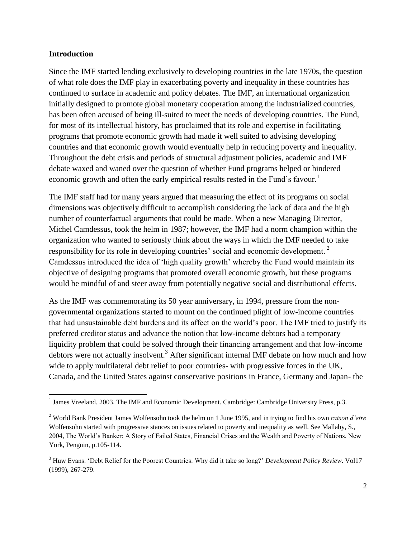### **Introduction**

l

Since the IMF started lending exclusively to developing countries in the late 1970s, the question of what role does the IMF play in exacerbating poverty and inequality in these countries has continued to surface in academic and policy debates. The IMF, an international organization initially designed to promote global monetary cooperation among the industrialized countries, has been often accused of being ill-suited to meet the needs of developing countries. The Fund, for most of its intellectual history, has proclaimed that its role and expertise in facilitating programs that promote economic growth had made it well suited to advising developing countries and that economic growth would eventually help in reducing poverty and inequality. Throughout the debt crisis and periods of structural adjustment policies, academic and IMF debate waxed and waned over the question of whether Fund programs helped or hindered economic growth and often the early empirical results rested in the Fund's favour.<sup>1</sup>

The IMF staff had for many years argued that measuring the effect of its programs on social dimensions was objectively difficult to accomplish considering the lack of data and the high number of counterfactual arguments that could be made. When a new Managing Director, Michel Camdessus, took the helm in 1987; however, the IMF had a norm champion within the organization who wanted to seriously think about the ways in which the IMF needed to take responsibility for its role in developing countries' social and economic development.<sup>2</sup> Camdessus introduced the idea of 'high quality growth' whereby the Fund would maintain its objective of designing programs that promoted overall economic growth, but these programs would be mindful of and steer away from potentially negative social and distributional effects.

As the IMF was commemorating its 50 year anniversary, in 1994, pressure from the nongovernmental organizations started to mount on the continued plight of low-income countries that had unsustainable debt burdens and its affect on the world's poor. The IMF tried to justify its preferred creditor status and advance the notion that low-income debtors had a temporary liquidity problem that could be solved through their financing arrangement and that low-income debtors were not actually insolvent.<sup>3</sup> After significant internal IMF debate on how much and how wide to apply multilateral debt relief to poor countries- with progressive forces in the UK, Canada, and the United States against conservative positions in France, Germany and Japan- the

<sup>&</sup>lt;sup>1</sup> James Vreeland. 2003. The IMF and Economic Development. Cambridge: Cambridge University Press, p.3.

<sup>2</sup> World Bank President James Wolfensohn took the helm on 1 June 1995, and in trying to find his own *raison d'etre*  Wolfensohn started with progressive stances on issues related to poverty and inequality as well. See Mallaby, S., 2004, The World's Banker: A Story of Failed States, Financial Crises and the Wealth and Poverty of Nations, New York, Penguin, p.105-114.

<sup>&</sup>lt;sup>3</sup> Huw Evans. 'Debt Relief for the Poorest Countries: Why did it take so long?' *Development Policy Review*. Vol17 (1999), 267-279.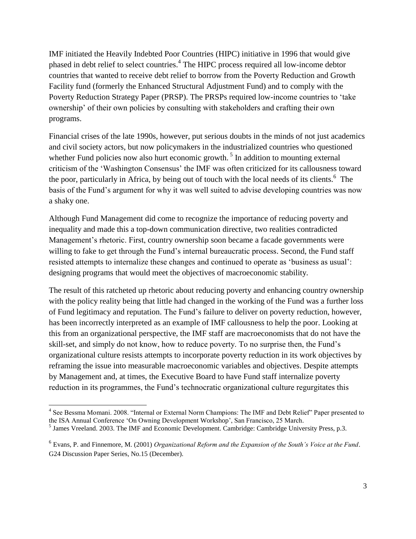IMF initiated the Heavily Indebted Poor Countries (HIPC) initiative in 1996 that would give phased in debt relief to select countries.<sup>4</sup> The HIPC process required all low-income debtor countries that wanted to receive debt relief to borrow from the Poverty Reduction and Growth Facility fund (formerly the Enhanced Structural Adjustment Fund) and to comply with the Poverty Reduction Strategy Paper (PRSP). The PRSPs required low-income countries to 'take ownership' of their own policies by consulting with stakeholders and crafting their own programs.

Financial crises of the late 1990s, however, put serious doubts in the minds of not just academics and civil society actors, but now policymakers in the industrialized countries who questioned whether Fund policies now also hurt economic growth.<sup>5</sup> In addition to mounting external criticism of the ‗Washington Consensus' the IMF was often criticized for its callousness toward the poor, particularly in Africa, by being out of touch with the local needs of its clients.<sup>6</sup> The basis of the Fund's argument for why it was well suited to advise developing countries was now a shaky one.

Although Fund Management did come to recognize the importance of reducing poverty and inequality and made this a top-down communication directive, two realities contradicted Management's rhetoric. First, country ownership soon became a facade governments were willing to fake to get through the Fund's internal bureaucratic process. Second, the Fund staff resisted attempts to internalize these changes and continued to operate as 'business as usual': designing programs that would meet the objectives of macroeconomic stability.

The result of this ratcheted up rhetoric about reducing poverty and enhancing country ownership with the policy reality being that little had changed in the working of the Fund was a further loss of Fund legitimacy and reputation. The Fund's failure to deliver on poverty reduction, however, has been incorrectly interpreted as an example of IMF callousness to help the poor. Looking at this from an organizational perspective, the IMF staff are macroeconomists that do not have the skill-set, and simply do not know, how to reduce poverty. To no surprise then, the Fund's organizational culture resists attempts to incorporate poverty reduction in its work objectives by reframing the issue into measurable macroeconomic variables and objectives. Despite attempts by Management and, at times, the Executive Board to have Fund staff internalize poverty reduction in its programmes, the Fund's technocratic organizational culture regurgitates this

<sup>4&</sup>lt;br><sup>4</sup> See Bessma Momani. 2008. "Internal or External Norm Champions: The IMF and Debt Relief" Paper presented to the ISA Annual Conference 'On Owning Development Workshop', San Francisco, 25 March.

<sup>&</sup>lt;sup>5</sup> James Vreeland. 2003. The IMF and Economic Development. Cambridge: Cambridge University Press, p.3.

<sup>6</sup> Evans, P. and Finnemore, M. (2001) *Organizational Reform and the Expansion of the South's Voice at the Fund*. G24 Discussion Paper Series, No.15 (December).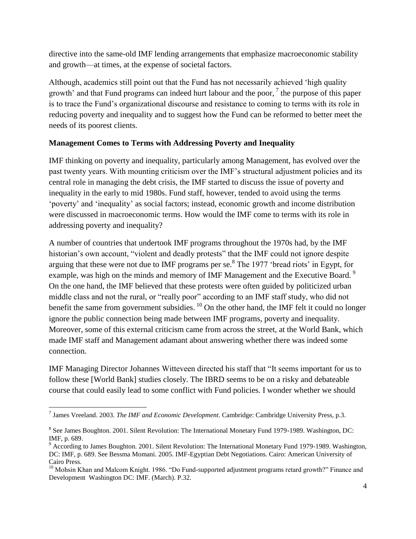directive into the same-old IMF lending arrangements that emphasize macroeconomic stability and growth—at times, at the expense of societal factors.

Although, academics still point out that the Fund has not necessarily achieved 'high quality growth' and that Fund programs can indeed hurt labour and the poor,  $\frac{7}{1}$  the purpose of this paper is to trace the Fund's organizational discourse and resistance to coming to terms with its role in reducing poverty and inequality and to suggest how the Fund can be reformed to better meet the needs of its poorest clients.

# **Management Comes to Terms with Addressing Poverty and Inequality**

IMF thinking on poverty and inequality, particularly among Management, has evolved over the past twenty years. With mounting criticism over the IMF's structural adjustment policies and its central role in managing the debt crisis, the IMF started to discuss the issue of poverty and inequality in the early to mid 1980s. Fund staff, however, tended to avoid using the terms ‗poverty' and ‗inequality' as social factors; instead, economic growth and income distribution were discussed in macroeconomic terms. How would the IMF come to terms with its role in addressing poverty and inequality?

A number of countries that undertook IMF programs throughout the 1970s had, by the IMF historian's own account, "violent and deadly protests" that the IMF could not ignore despite arguing that these were not due to IMF programs per se. $8$  The 1977 'bread riots' in Egypt, for example, was high on the minds and memory of IMF Management and the Executive Board.<sup>9</sup> On the one hand, the IMF believed that these protests were often guided by politicized urban middle class and not the rural, or "really poor" according to an IMF staff study, who did not benefit the same from government subsidies.  $^{10}$  On the other hand, the IMF felt it could no longer ignore the public connection being made between IMF programs, poverty and inequality. Moreover, some of this external criticism came from across the street, at the World Bank, which made IMF staff and Management adamant about answering whether there was indeed some connection.

IMF Managing Director Johannes Witteveen directed his staff that "It seems important for us to follow these [World Bank] studies closely. The IBRD seems to be on a risky and debateable course that could easily lead to some conflict with Fund policies. I wonder whether we should

l 7 James Vreeland. 2003. *The IMF and Economic Development*. Cambridge: Cambridge University Press, p.3.

<sup>&</sup>lt;sup>8</sup> See James Boughton. 2001. Silent Revolution: The International Monetary Fund 1979-1989. Washington, DC: IMF, p. 689.

<sup>9</sup> According to James Boughton. 2001. Silent Revolution: The International Monetary Fund 1979-1989. Washington, DC: IMF, p. 689. See Bessma Momani. 2005. IMF-Egyptian Debt Negotiations. Cairo: American University of Cairo Press.

 $10$  Mohsin Khan and Malcom Knight. 1986. "Do Fund-supported adjustment programs retard growth?" Finance and Development Washington DC: IMF. (March). P.32.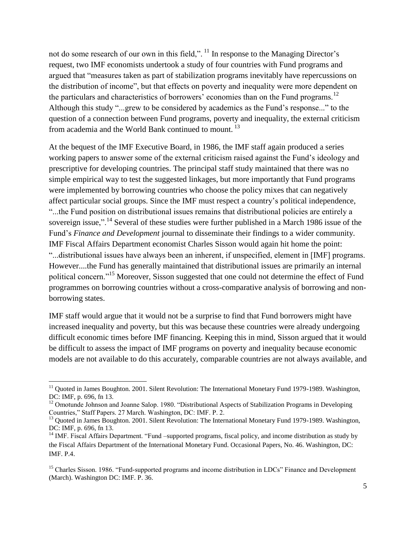not do some research of our own in this field,".  $11$  In response to the Managing Director's request, two IMF economists undertook a study of four countries with Fund programs and argued that "measures taken as part of stabilization programs inevitably have repercussions on the distribution of income", but that effects on poverty and inequality were more dependent on the particulars and characteristics of borrowers' economies than on the Fund programs.<sup>12</sup> Although this study "...grew to be considered by academics as the Fund's response..." to the question of a connection between Fund programs, poverty and inequality, the external criticism from academia and the World Bank continued to mount. <sup>13</sup>

At the bequest of the IMF Executive Board, in 1986, the IMF staff again produced a series working papers to answer some of the external criticism raised against the Fund's ideology and prescriptive for developing countries. The principal staff study maintained that there was no simple empirical way to test the suggested linkages, but more importantly that Fund programs were implemented by borrowing countries who choose the policy mixes that can negatively affect particular social groups. Since the IMF must respect a country's political independence, ―...the Fund position on distributional issues remains that distributional policies are entirely a sovereign issue,".<sup>14</sup> Several of these studies were further published in a March 1986 issue of the Fund's *Finance and Development* journal to disseminate their findings to a wider community. IMF Fiscal Affairs Department economist Charles Sisson would again hit home the point: ―...distributional issues have always been an inherent, if unspecified, element in [IMF] programs. However....the Fund has generally maintained that distributional issues are primarily an internal political concern.<sup>15</sup> Moreover, Sisson suggested that one could not determine the effect of Fund programmes on borrowing countries without a cross-comparative analysis of borrowing and nonborrowing states.

IMF staff would argue that it would not be a surprise to find that Fund borrowers might have increased inequality and poverty, but this was because these countries were already undergoing difficult economic times before IMF financing. Keeping this in mind, Sisson argued that it would be difficult to assess the impact of IMF programs on poverty and inequality because economic models are not available to do this accurately, comparable countries are not always available, and

<sup>&</sup>lt;sup>11</sup> Quoted in James Boughton. 2001. Silent Revolution: The International Monetary Fund 1979-1989. Washington, DC: IMF, p. 696, fn 13.

<sup>&</sup>lt;sup>12</sup> Omotunde Johnson and Joanne Salop. 1980. "Distributional Aspects of Stabilization Programs in Developing Countries," Staff Papers. 27 March. Washington, DC: IMF. P. 2.

<sup>&</sup>lt;sup>13</sup> Quoted in James Boughton. 2001. Silent Revolution: The International Monetary Fund 1979-1989. Washington, DC: IMF, p. 696, fn 13.

<sup>&</sup>lt;sup>14</sup> IMF. Fiscal Affairs Department. "Fund –supported programs, fiscal policy, and income distribution as study by the Fiscal Affairs Department of the International Monetary Fund. Occasional Papers, No. 46. Washington, DC: IMF. P.4.

<sup>&</sup>lt;sup>15</sup> Charles Sisson. 1986. "Fund-supported programs and income distribution in LDCs" Finance and Development (March). Washington DC: IMF. P. 36.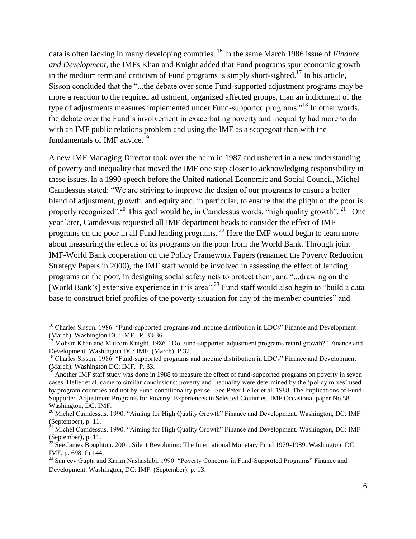data is often lacking in many developing countries. <sup>16</sup> In the same March 1986 issue of *Finance and Development*, the IMFs Khan and Knight added that Fund programs spur economic growth in the medium term and criticism of Fund programs is simply short-sighted.<sup>17</sup> In his article, Sisson concluded that the "...the debate over some Fund-supported adjustment programs may be more a reaction to the required adjustment, organized affected groups, than an indictment of the type of adjustments measures implemented under Fund-supported programs.<sup>18</sup> In other words, the debate over the Fund's involvement in exacerbating poverty and inequality had more to do with an IMF public relations problem and using the IMF as a scapegoat than with the fundamentals of IMF advice.<sup>19</sup>

A new IMF Managing Director took over the helm in 1987 and ushered in a new understanding of poverty and inequality that moved the IMF one step closer to acknowledging responsibility in these issues. In a 1990 speech before the United national Economic and Social Council, Michel Camdessus stated: "We are striving to improve the design of our programs to ensure a better blend of adjustment, growth, and equity and, in particular, to ensure that the plight of the poor is properly recognized".<sup>20</sup> This goal would be, in Camdessus words, "high quality growth". <sup>21</sup> One year later, Camdessus requested all IMF department heads to consider the effect of IMF programs on the poor in all Fund lending programs.<sup>22</sup> Here the IMF would begin to learn more about measuring the effects of its programs on the poor from the World Bank. Through joint IMF-World Bank cooperation on the Policy Framework Papers (renamed the Poverty Reduction Strategy Papers in 2000), the IMF staff would be involved in assessing the effect of lending programs on the poor, in designing social safety nets to protect them, and "...drawing on the [World Bank's] extensive experience in this area".<sup>23</sup> Fund staff would also begin to "build a data" base to construct brief profiles of the poverty situation for any of the member countries" and

 $\overline{a}$ 

<sup>&</sup>lt;sup>16</sup> Charles Sisson. 1986. "Fund-supported programs and income distribution in LDCs" Finance and Development (March). Washington DC: IMF. P. 33-36.

 $17$  Mohsin Khan and Malcom Knight. 1986. "Do Fund-supported adjustment programs retard growth?" Finance and Development Washington DC: IMF. (March). P.32.

<sup>&</sup>lt;sup>18</sup> Charles Sisson. 1986. "Fund-supported programs and income distribution in LDCs" Finance and Development (March). Washington DC: IMF. P. 33.

 $19$  Another IMF staff study was done in 1988 to measure the effect of fund-supported programs on poverty in seven cases. Heller et al. came to similar conclusions: poverty and inequality were determined by the 'policy mixes' used by program countries and not by Fund conditionality per se. See Peter Heller et al. 1988. The Implications of Fund-Supported Adjustment Programs for Poverty: Experiences in Selected Countries. IMF Occasional paper No.58. Washington, DC: IMF.

<sup>&</sup>lt;sup>20</sup> Michel Camdessus. 1990. "Aiming for High Quality Growth" Finance and Development. Washington, DC: IMF. (September), p. 11.

<sup>&</sup>lt;sup>21</sup> Michel Camdessus. 1990. "Aiming for High Quality Growth" Finance and Development. Washington, DC: IMF. (September), p. 11.

 $^{22}$  See James Boughton. 2001. Silent Revolution: The International Monetary Fund 1979-1989. Washington, DC: IMF, p. 698, fn.144.

<sup>&</sup>lt;sup>23</sup> Sanjeev Gupta and Karim Nashashibi. 1990. "Poverty Concerns in Fund-Supported Programs" Finance and Development. Washington, DC: IMF. (September), p. 13.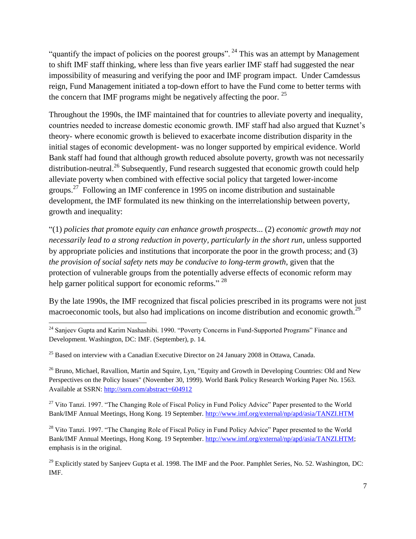"quantify the impact of policies on the poorest groups". <sup>24</sup> This was an attempt by Management to shift IMF staff thinking, where less than five years earlier IMF staff had suggested the near impossibility of measuring and verifying the poor and IMF program impact. Under Camdessus reign, Fund Management initiated a top-down effort to have the Fund come to better terms with the concern that IMF programs might be negatively affecting the poor.  $25$ 

Throughout the 1990s, the IMF maintained that for countries to alleviate poverty and inequality, countries needed to increase domestic economic growth. IMF staff had also argued that Kuznet's theory- where economic growth is believed to exacerbate income distribution disparity in the initial stages of economic development- was no longer supported by empirical evidence. World Bank staff had found that although growth reduced absolute poverty, growth was not necessarily distribution-neutral.<sup>26</sup> Subsequently, Fund research suggested that economic growth could help alleviate poverty when combined with effective social policy that targeted lower-income groups.<sup>27</sup> Following an IMF conference in 1995 on income distribution and sustainable development, the IMF formulated its new thinking on the interrelationship between poverty, growth and inequality:

―(1) *policies that promote equity can enhance growth prospects*... (2) *economic growth may not necessarily lead to a strong reduction in poverty, particularly in the short run*, unless supported by appropriate policies and institutions that incorporate the poor in the growth process; and (3) *the provision of social safety nets may be conducive to long-term growth*, given that the protection of vulnerable groups from the potentially adverse effects of economic reform may help garner political support for economic reforms."  $^{28}$ 

By the late 1990s, the IMF recognized that fiscal policies prescribed in its programs were not just macroeconomic tools, but also had implications on income distribution and economic growth.<sup>29</sup>

l

<sup>26</sup> Bruno, Michael, Ravallion, Martin and Squire, Lyn, "Equity and Growth in Developing Countries: Old and New Perspectives on the Policy Issues" (November 30, 1999). World Bank Policy Research Working Paper No. 1563. Available at SSRN:<http://ssrn.com/abstract=604912>

<sup>27</sup> Vito Tanzi. 1997. "The Changing Role of Fiscal Policy in Fund Policy Advice" Paper presented to the World Bank/IMF Annual Meetings, Hong Kong. 19 September.<http://www.imf.org/external/np/apd/asia/TANZI.HTM>

<sup>28</sup> Vito Tanzi. 1997. "The Changing Role of Fiscal Policy in Fund Policy Advice" Paper presented to the World Bank/IMF Annual Meetings, Hong Kong. 19 September[. http://www.imf.org/external/np/apd/asia/TANZI.HTM;](http://www.imf.org/external/np/apd/asia/TANZI.HTM) emphasis is in the original.

 $^{29}$  Explicitly stated by Sanjeev Gupta et al. 1998. The IMF and the Poor. Pamphlet Series, No. 52. Washington, DC: IMF.

 $24$  Sanjeev Gupta and Karim Nashashibi. 1990. "Poverty Concerns in Fund-Supported Programs" Finance and Development. Washington, DC: IMF. (September), p. 14.

 $25$  Based on interview with a Canadian Executive Director on 24 January 2008 in Ottawa, Canada.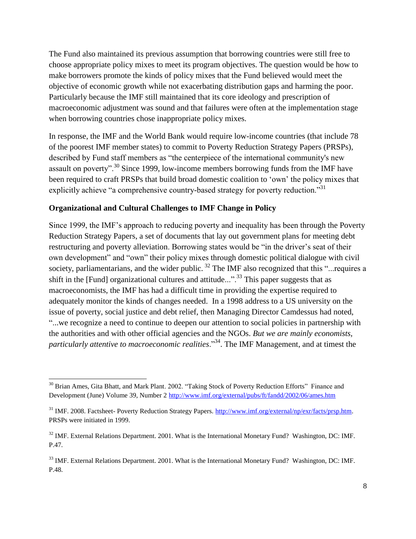The Fund also maintained its previous assumption that borrowing countries were still free to choose appropriate policy mixes to meet its program objectives. The question would be how to make borrowers promote the kinds of policy mixes that the Fund believed would meet the objective of economic growth while not exacerbating distribution gaps and harming the poor. Particularly because the IMF still maintained that its core ideology and prescription of macroeconomic adjustment was sound and that failures were often at the implementation stage when borrowing countries chose inappropriate policy mixes.

In response, the IMF and the World Bank would require low-income countries (that include 78 of the poorest IMF member states) to commit to Poverty Reduction Strategy Papers (PRSPs), described by Fund staff members as "the centerpiece of the international community's new assault on poverty".<sup>30</sup> Since 1999, low-income members borrowing funds from the IMF have been required to craft PRSPs that build broad domestic coalition to 'own' the policy mixes that explicitly achieve "a comprehensive country-based strategy for poverty reduction."<sup>31</sup>

## **Organizational and Cultural Challenges to IMF Change in Policy**

l

Since 1999, the IMF's approach to reducing poverty and inequality has been through the Poverty Reduction Strategy Papers, a set of documents that lay out government plans for meeting debt restructuring and poverty alleviation. Borrowing states would be "in the driver's seat of their own development" and "own" their policy mixes through domestic political dialogue with civil society, parliamentarians, and the wider public.<sup>32</sup> The IMF also recognized that this "...requires a shift in the [Fund] organizational cultures and attitude...".<sup>33</sup> This paper suggests that as macroeconomists, the IMF has had a difficult time in providing the expertise required to adequately monitor the kinds of changes needed. In a 1998 address to a US university on the issue of poverty, social justice and debt relief, then Managing Director Camdessus had noted, ―...we recognize a need to continue to deepen our attention to social policies in partnership with the authorities and with other official agencies and the NGOs. *But we are mainly economists, particularly attentive to macroeconomic realities.*<sup>34</sup>. The IMF Management, and at timest the

 $30$  Brian Ames, Gita Bhatt, and Mark Plant. 2002. "Taking Stock of Poverty Reduction Efforts" Finance and Development (June) Volume 39, Number 2 <http://www.imf.org/external/pubs/ft/fandd/2002/06/ames.htm>

<sup>&</sup>lt;sup>31</sup> IMF. 2008. Factsheet- Poverty Reduction Strategy Papers. [http://www.imf.org/external/np/exr/facts/prsp.htm.](http://www.imf.org/external/np/exr/facts/prsp.htm) PRSPs were initiated in 1999.

<sup>&</sup>lt;sup>32</sup> IMF. External Relations Department. 2001. What is the International Monetary Fund? Washington, DC: IMF. P.47.

<sup>&</sup>lt;sup>33</sup> IMF. External Relations Department. 2001. What is the International Monetary Fund? Washington, DC: IMF. P.48.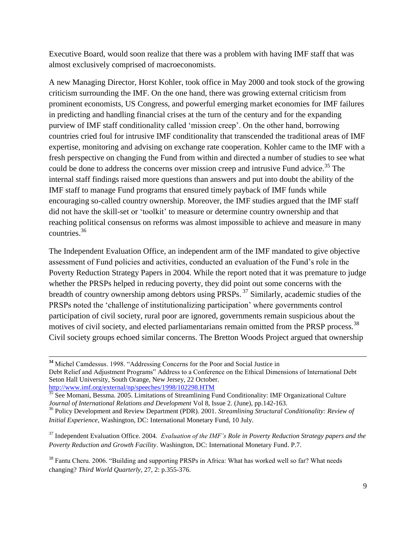Executive Board, would soon realize that there was a problem with having IMF staff that was almost exclusively comprised of macroeconomists.

A new Managing Director, Horst Kohler, took office in May 2000 and took stock of the growing criticism surrounding the IMF. On the one hand, there was growing external criticism from prominent economists, US Congress, and powerful emerging market economies for IMF failures in predicting and handling financial crises at the turn of the century and for the expanding purview of IMF staff conditionality called ‗mission creep'. On the other hand, borrowing countries cried foul for intrusive IMF conditionality that transcended the traditional areas of IMF expertise, monitoring and advising on exchange rate cooperation. Kohler came to the IMF with a fresh perspective on changing the Fund from within and directed a number of studies to see what could be done to address the concerns over mission creep and intrusive Fund advice.<sup>35</sup> The internal staff findings raised more questions than answers and put into doubt the ability of the IMF staff to manage Fund programs that ensured timely payback of IMF funds while encouraging so-called country ownership. Moreover, the IMF studies argued that the IMF staff did not have the skill-set or 'toolkit' to measure or determine country ownership and that reaching political consensus on reforms was almost impossible to achieve and measure in many countries. 36

The Independent Evaluation Office, an independent arm of the IMF mandated to give objective assessment of Fund policies and activities, conducted an evaluation of the Fund's role in the Poverty Reduction Strategy Papers in 2004. While the report noted that it was premature to judge whether the PRSPs helped in reducing poverty, they did point out some concerns with the breadth of country ownership among debtors using PRSPs.<sup>37</sup> Similarly, academic studies of the PRSPs noted the 'challenge of institutionalizing participation' where governments control participation of civil society, rural poor are ignored, governments remain suspicious about the motives of civil society, and elected parliamentarians remain omitted from the PRSP process.<sup>38</sup> Civil society groups echoed similar concerns. The Bretton Woods Project argued that ownership

<sup>&</sup>lt;sup>34</sup> Michel Camdessus. 1998. "Addressing Concerns for the Poor and Social Justice in Debt Relief and Adjustment Programs" Address to a Conference on the Ethical Dimensions of International Debt Seton Hall University, South Orange, New Jersey, 22 October. <http://www.imf.org/external/np/speeches/1998/102298.HTM>

<sup>&</sup>lt;sup>35</sup> See Momani, Bessma. 2005. Limitations of Streamlining Fund Conditionality: IMF Organizational Culture *Journal of International Relations and Development* Vol 8, Issue 2. (June), pp.142-163.

<sup>36</sup> Policy Development and Review Department (PDR). 2001. *Streamlining Structural Conditionality: Review of Initial Experience*, Washington, DC: International Monetary Fund, 10 July.

<sup>37</sup> Independent Evaluation Office. 2004. *Evaluation of the IMF's Role in Poverty Reduction Strategy papers and the Poverty Reduction and Growth Facility*. Washington, DC: International Monetary Fund. P.7.

<sup>&</sup>lt;sup>38</sup> Fantu Cheru. 2006. "Building and supporting PRSPs in Africa: What has worked well so far? What needs changing? *Third World Quarterly*, 27, 2: p.355-376.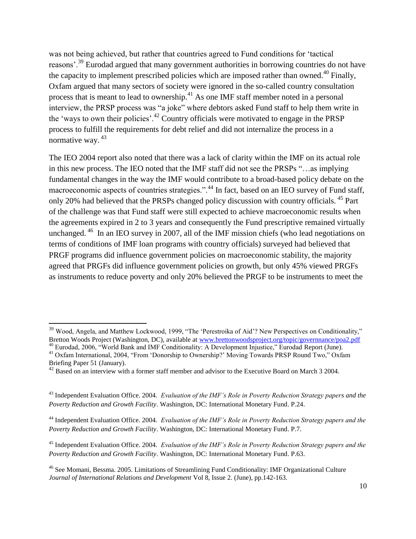was not being achieved, but rather that countries agreed to Fund conditions for 'tactical reasons'.<sup>39</sup> Eurodad argued that many government authorities in borrowing countries do not have the capacity to implement prescribed policies which are imposed rather than owned.<sup>40</sup> Finally, Oxfam argued that many sectors of society were ignored in the so-called country consultation process that is meant to lead to ownership.<sup>41</sup> As one IMF staff member noted in a personal interview, the PRSP process was "a joke" where debtors asked Fund staff to help them write in the 'ways to own their policies'.<sup>42</sup> Country officials were motivated to engage in the PRSP process to fulfill the requirements for debt relief and did not internalize the process in a normative way.<sup>43</sup>

The IEO 2004 report also noted that there was a lack of clarity within the IMF on its actual role in this new process. The IEO noted that the IMF staff did not see the PRSPs "...as implying fundamental changes in the way the IMF would contribute to a broad-based policy debate on the macroeconomic aspects of countries strategies.".<sup>44</sup> In fact, based on an IEO survey of Fund staff, only 20% had believed that the PRSPs changed policy discussion with country officials. <sup>45</sup> Part of the challenge was that Fund staff were still expected to achieve macroeconomic results when the agreements expired in 2 to 3 years and consequently the Fund prescriptive remained virtually unchanged.<sup>46</sup> In an IEO survey in 2007, all of the IMF mission chiefs (who lead negotiations on terms of conditions of IMF loan programs with country officials) surveyed had believed that PRGF programs did influence government policies on macroeconomic stability, the majority agreed that PRGFs did influence government policies on growth, but only 45% viewed PRGFs as instruments to reduce poverty and only 20% believed the PRGF to be instruments to meet the

<sup>&</sup>lt;sup>39</sup> Wood, Angela, and Matthew Lockwood, 1999, "The 'Perestroika of Aid'? New Perspectives on Conditionality," Bretton Woods Project (Washington, DC), available at [www.brettonwoodsproject.org/topic/governnance/poa2.pdf](http://www.brettonwoodsproject.org/topic/governnance/poa2.pdf)

<sup>40</sup> Eurodad, 2006, "World Bank and IMF Conditionality: A Development Injustice," Eurodad Report (June). <sup>41</sup> Oxfam International, 2004, "From 'Donorship to Ownership?' Moving Towards PRSP Round Two," Oxfam Briefing Paper 51 (January).

<sup>&</sup>lt;sup>42</sup> Based on an interview with a former staff member and advisor to the Executive Board on March 3 2004.

<sup>43</sup> Independent Evaluation Office. 2004. *Evaluation of the IMF's Role in Poverty Reduction Strategy papers and the Poverty Reduction and Growth Facility*. Washington, DC: International Monetary Fund. P.24.

<sup>44</sup> Independent Evaluation Office. 2004. *Evaluation of the IMF's Role in Poverty Reduction Strategy papers and the Poverty Reduction and Growth Facility*. Washington, DC: International Monetary Fund. P.7.

<sup>45</sup> Independent Evaluation Office. 2004. *Evaluation of the IMF's Role in Poverty Reduction Strategy papers and the Poverty Reduction and Growth Facility*. Washington, DC: International Monetary Fund. P.63.

<sup>46</sup> See Momani, Bessma. 2005. Limitations of Streamlining Fund Conditionality: IMF Organizational Culture *Journal of International Relations and Development* Vol 8, Issue 2. (June), pp.142-163.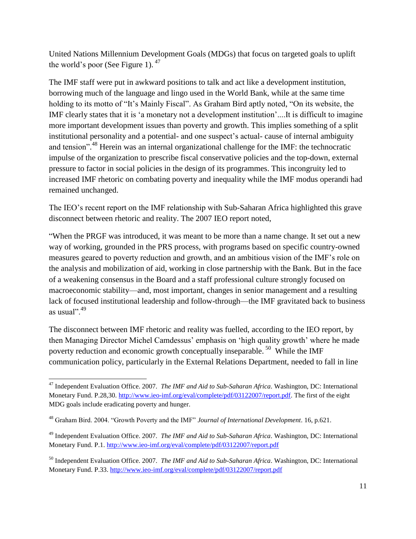United Nations Millennium Development Goals (MDGs) that focus on targeted goals to uplift the world's poor (See Figure 1).  $47$ 

The IMF staff were put in awkward positions to talk and act like a development institution, borrowing much of the language and lingo used in the World Bank, while at the same time holding to its motto of "It's Mainly Fiscal". As Graham Bird aptly noted, "On its website, the IMF clearly states that it is ‗a monetary not a development institution'....It is difficult to imagine more important development issues than poverty and growth. This implies something of a split institutional personality and a potential- and one suspect's actual- cause of internal ambiguity and tension".<sup>48</sup> Herein was an internal organizational challenge for the IMF: the technocratic impulse of the organization to prescribe fiscal conservative policies and the top-down, external pressure to factor in social policies in the design of its programmes. This incongruity led to increased IMF rhetoric on combating poverty and inequality while the IMF modus operandi had remained unchanged.

The IEO's recent report on the IMF relationship with Sub-Saharan Africa highlighted this grave disconnect between rhetoric and reality. The 2007 IEO report noted,

"When the PRGF was introduced, it was meant to be more than a name change. It set out a new way of working, grounded in the PRS process, with programs based on specific country-owned measures geared to poverty reduction and growth, and an ambitious vision of the IMF's role on the analysis and mobilization of aid, working in close partnership with the Bank. But in the face of a weakening consensus in the Board and a staff professional culture strongly focused on macroeconomic stability—and, most important, changes in senior management and a resulting lack of focused institutional leadership and follow-through—the IMF gravitated back to business as usual". $49$ 

The disconnect between IMF rhetoric and reality was fuelled, according to the IEO report, by then Managing Director Michel Camdessus' emphasis on ‗high quality growth' where he made poverty reduction and economic growth conceptually inseparable.<sup>50</sup> While the IMF communication policy, particularly in the External Relations Department, needed to fall in line

<sup>47</sup> Independent Evaluation Office. 2007. *The IMF and Aid to Sub-Saharan Africa*. Washington, DC: International Monetary Fund. P.28,30. [http://www.ieo-imf.org/eval/complete/pdf/03122007/report.pdf.](http://www.ieo-imf.org/eval/complete/pdf/03122007/report.pdf) The first of the eight MDG goals include eradicating poverty and hunger.

<sup>&</sup>lt;sup>48</sup> Graham Bird. 2004. "Growth Poverty and the IMF" *Journal of International Development*. 16, p.621.

<sup>49</sup> Independent Evaluation Office. 2007. *The IMF and Aid to Sub-Saharan Africa*. Washington, DC: International Monetary Fund. P.1. <http://www.ieo-imf.org/eval/complete/pdf/03122007/report.pdf>

<sup>50</sup> Independent Evaluation Office. 2007. *The IMF and Aid to Sub-Saharan Africa*. Washington, DC: International Monetary Fund. P.33. <http://www.ieo-imf.org/eval/complete/pdf/03122007/report.pdf>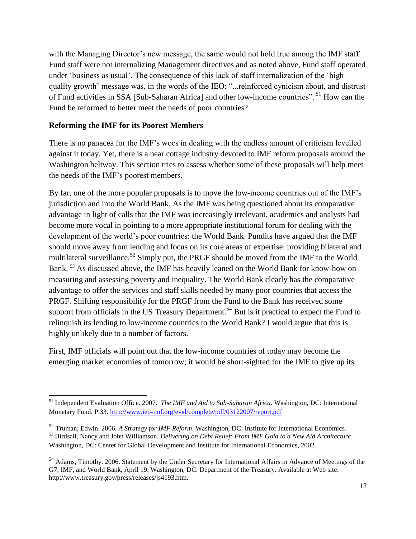with the Managing Director's new message, the same would not hold true among the IMF staff. Fund staff were not internalizing Management directives and as noted above, Fund staff operated under 'business as usual'. The consequence of this lack of staff internalization of the 'high quality growth' message was, in the words of the IEO: "...reinforced cynicism about, and distrust of Fund activities in SSA [Sub-Saharan Africa] and other low-income countries".<sup>51</sup> How can the Fund be reformed to better meet the needs of poor countries?

# **Reforming the IMF for its Poorest Members**

l

There is no panacea for the IMF's woes in dealing with the endless amount of criticism levelled against it today. Yet, there is a near cottage industry devoted to IMF reform proposals around the Washington beltway. This section tries to assess whether some of these proposals will help meet the needs of the IMF's poorest members.

By far, one of the more popular proposals is to move the low-income countries out of the IMF's jurisdiction and into the World Bank. As the IMF was being questioned about its comparative advantage in light of calls that the IMF was increasingly irrelevant, academics and analysts had become more vocal in pointing to a more appropriate institutional forum for dealing with the development of the world's poor countries: the World Bank. Pundits have argued that the IMF should move away from lending and focus on its core areas of expertise: providing bilateral and multilateral surveillance.<sup>52</sup> Simply put, the PRGF should be moved from the IMF to the World Bank. <sup>53</sup> As discussed above, the IMF has heavily leaned on the World Bank for know-how on measuring and assessing poverty and inequality. The World Bank clearly has the comparative advantage to offer the services and staff skills needed by many poor countries that access the PRGF. Shifting responsibility for the PRGF from the Fund to the Bank has received some support from officials in the US Treasury Department.<sup>54</sup> But is it practical to expect the Fund to relinquish its lending to low-income countries to the World Bank? I would argue that this is highly unlikely due to a number of factors.

First, IMF officials will point out that the low-income countries of today may become the emerging market economies of tomorrow; it would be short-sighted for the IMF to give up its

<sup>51</sup> Independent Evaluation Office. 2007. *The IMF and Aid to Sub-Saharan Africa*. Washington, DC: International Monetary Fund. P.33. <http://www.ieo-imf.org/eval/complete/pdf/03122007/report.pdf>

<sup>52</sup> Truman, Edwin. 2006. *A Strategy for IMF Reform*. Washington, DC: Institute for International Economics.

<sup>53</sup> Birdsall, Nancy and John Williamson. *Delivering on Debt Relief: From IMF Gold to a New Aid Architecture*. Washington, DC: Center for Global Development and Institute for International Economics, 2002.

<sup>&</sup>lt;sup>54</sup> Adams. Timothy. 2006. Statement by the Under Secretary for International Affairs in Advance of Meetings of the G7, IMF, and World Bank, April 19. Washington, DC: Department of the Treasury. Available at Web site: http://www.treasury.gov/press/releases/js4193.htm.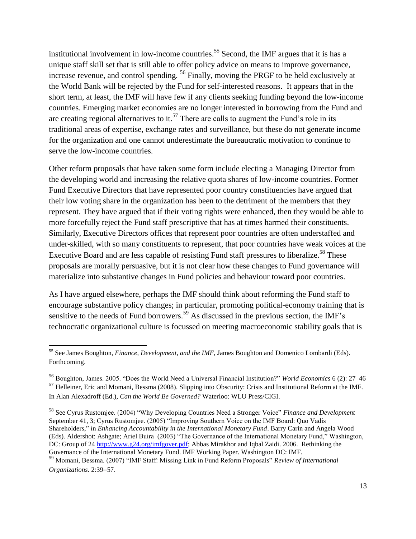institutional involvement in low-income countries.<sup>55</sup> Second, the IMF argues that it is has a unique staff skill set that is still able to offer policy advice on means to improve governance, increase revenue, and control spending. <sup>56</sup> Finally, moving the PRGF to be held exclusively at the World Bank will be rejected by the Fund for self-interested reasons. It appears that in the short term, at least, the IMF will have few if any clients seeking funding beyond the low-income countries. Emerging market economies are no longer interested in borrowing from the Fund and are creating regional alternatives to it.<sup>57</sup> There are calls to augment the Fund's role in its traditional areas of expertise, exchange rates and surveillance, but these do not generate income for the organization and one cannot underestimate the bureaucratic motivation to continue to serve the low-income countries.

Other reform proposals that have taken some form include electing a Managing Director from the developing world and increasing the relative quota shares of low-income countries. Former Fund Executive Directors that have represented poor country constituencies have argued that their low voting share in the organization has been to the detriment of the members that they represent. They have argued that if their voting rights were enhanced, then they would be able to more forcefully reject the Fund staff prescriptive that has at times harmed their constituents. Similarly, Executive Directors offices that represent poor countries are often understaffed and under-skilled, with so many constituents to represent, that poor countries have weak voices at the Executive Board and are less capable of resisting Fund staff pressures to liberalize.<sup>58</sup> These proposals are morally persuasive, but it is not clear how these changes to Fund governance will materialize into substantive changes in Fund policies and behaviour toward poor countries.

As I have argued elsewhere, perhaps the IMF should think about reforming the Fund staff to encourage substantive policy changes; in particular, promoting political-economy training that is sensitive to the needs of Fund borrowers.<sup>59</sup> As discussed in the previous section, the IMF's technocratic organizational culture is focussed on meeting macroeconomic stability goals that is

<sup>55</sup> See James Boughton, *Finance, Development, and the IMF*, James Boughton and Domenico Lombardi (Eds). Forthcoming.

<sup>56</sup> Boughton, James. 2005. ―Does the World Need a Universal Financial Institution?‖ *World Economics* 6 (2): 27–46 <sup>57</sup> Helleiner, Eric and Momani, Bessma (2008). Slipping into Obscurity: Crisis and Institutional Reform at the IMF. In Alan Alexadroff (Ed.), *Can the World Be Governed?* Waterloo: WLU Press/CIGI.

<sup>&</sup>lt;sup>58</sup> See Cyrus Rustomjee. (2004) "Why Developing Countries Need a Stronger Voice" *Finance and Development* September 41, 3; Cyrus Rustomjee. (2005) "Improving Southern Voice on the IMF Board: Quo Vadis Shareholders," in *Enhancing Accountability in the International Monetary Fund*. Barry Carin and Angela Wood (Eds). Aldershot: Ashgate; Ariel Buira (2003) "The Governance of the International Monetary Fund," Washington, DC: Group of 24 [http://www.g24.org/imfgover.pdf;](http://www.g24.org/imfgover.pdf) Abbas Mirakhor and Iqbal Zaidi. 2006. Rethinking the Governance of the International Monetary Fund. IMF Working Paper. Washington DC: IMF.

<sup>59</sup> Momani, Bessma. (2007) "IMF Staff: Missing Link in Fund Reform Proposals" Review of International *Organizations*. 2:39–57.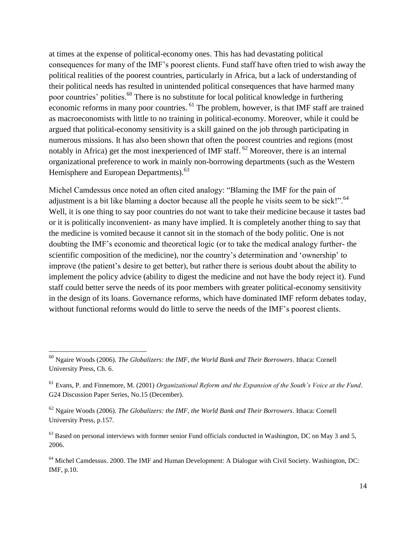at times at the expense of political-economy ones. This has had devastating political consequences for many of the IMF's poorest clients. Fund staff have often tried to wish away the political realities of the poorest countries, particularly in Africa, but a lack of understanding of their political needs has resulted in unintended political consequences that have harmed many poor countries' polities.<sup>60</sup> There is no substitute for local political knowledge in furthering economic reforms in many poor countries. <sup>61</sup> The problem, however, is that IMF staff are trained as macroeconomists with little to no training in political-economy. Moreover, while it could be argued that political-economy sensitivity is a skill gained on the job through participating in numerous missions. It has also been shown that often the poorest countries and regions (most notably in Africa) get the most inexperienced of IMF staff. <sup>62</sup> Moreover, there is an internal organizational preference to work in mainly non-borrowing departments (such as the Western Hemisphere and European Departments).<sup>63</sup>

Michel Camdessus once noted an often cited analogy: "Blaming the IMF for the pain of adjustment is a bit like blaming a doctor because all the people he visits seem to be sick!".  $64$ Well, it is one thing to say poor countries do not want to take their medicine because it tastes bad or it is politically inconvenient- as many have implied. It is completely another thing to say that the medicine is vomited because it cannot sit in the stomach of the body politic. One is not doubting the IMF's economic and theoretical logic (or to take the medical analogy further- the scientific composition of the medicine), nor the country's determination and 'ownership' to improve (the patient's desire to get better), but rather there is serious doubt about the ability to implement the policy advice (ability to digest the medicine and not have the body reject it). Fund staff could better serve the needs of its poor members with greater political-economy sensitivity in the design of its loans. Governance reforms, which have dominated IMF reform debates today, without functional reforms would do little to serve the needs of the IMF's poorest clients.

<sup>60</sup> Ngaire Woods (2006). *The Globalizers: the IMF, the World Bank and Their Borrowers*. Ithaca: Cornell University Press, Ch. 6.

<sup>61</sup> Evans, P. and Finnemore, M. (2001) *Organizational Reform and the Expansion of the South's Voice at the Fund*. G24 Discussion Paper Series, No.15 (December).

<sup>62</sup> Ngaire Woods (2006). *The Globalizers: the IMF, the World Bank and Their Borrowers*. Ithaca: Cornell University Press, p.157.

 $^{63}$  Based on personal interviews with former senior Fund officials conducted in Washington, DC on May 3 and 5, 2006.

<sup>64</sup> Michel Camdessus. 2000. The IMF and Human Development: A Dialogue with Civil Society. Washington, DC: IMF, p.10.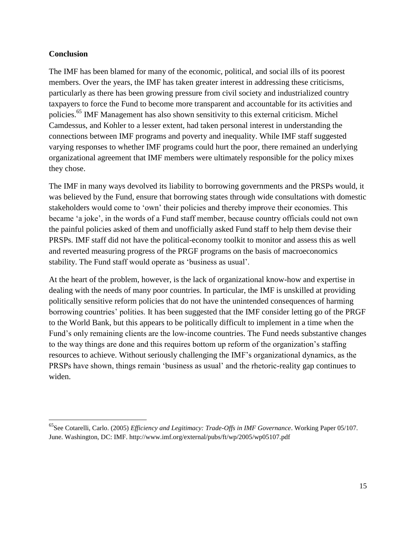## **Conclusion**

l

The IMF has been blamed for many of the economic, political, and social ills of its poorest members. Over the years, the IMF has taken greater interest in addressing these criticisms, particularly as there has been growing pressure from civil society and industrialized country taxpayers to force the Fund to become more transparent and accountable for its activities and policies.<sup>65</sup> IMF Management has also shown sensitivity to this external criticism. Michel Camdessus, and Kohler to a lesser extent, had taken personal interest in understanding the connections between IMF programs and poverty and inequality. While IMF staff suggested varying responses to whether IMF programs could hurt the poor, there remained an underlying organizational agreement that IMF members were ultimately responsible for the policy mixes they chose.

The IMF in many ways devolved its liability to borrowing governments and the PRSPs would, it was believed by the Fund, ensure that borrowing states through wide consultations with domestic stakeholders would come to 'own' their policies and thereby improve their economies. This became 'a joke', in the words of a Fund staff member, because country officials could not own the painful policies asked of them and unofficially asked Fund staff to help them devise their PRSPs. IMF staff did not have the political-economy toolkit to monitor and assess this as well and reverted measuring progress of the PRGF programs on the basis of macroeconomics stability. The Fund staff would operate as 'business as usual'.

At the heart of the problem, however, is the lack of organizational know-how and expertise in dealing with the needs of many poor countries. In particular, the IMF is unskilled at providing politically sensitive reform policies that do not have the unintended consequences of harming borrowing countries' polities. It has been suggested that the IMF consider letting go of the PRGF to the World Bank, but this appears to be politically difficult to implement in a time when the Fund's only remaining clients are the low-income countries. The Fund needs substantive changes to the way things are done and this requires bottom up reform of the organization's staffing resources to achieve. Without seriously challenging the IMF's organizational dynamics, as the PRSPs have shown, things remain 'business as usual' and the rhetoric-reality gap continues to widen.

<sup>65</sup>See Cotarelli, Carlo. (2005) *Efficiency and Legitimacy: Trade-Offs in IMF Governance*. Working Paper 05/107. June. Washington, DC: IMF. http://www.imf.org/external/pubs/ft/wp/2005/wp05107.pdf